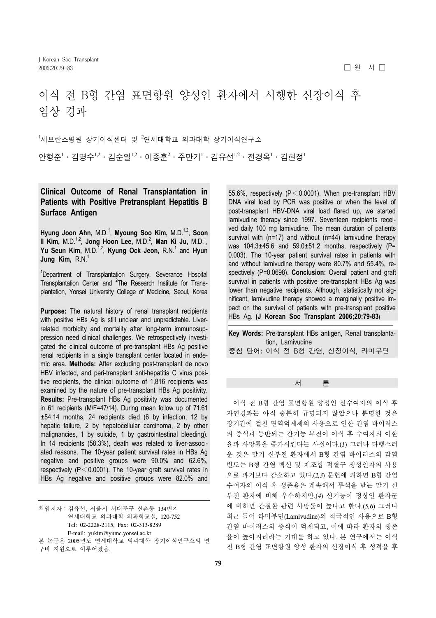# 이식 전 B형 간염 표면항원 양성인 환자에서 시행한 신장이식 후 임상 경과

 $^{\text{1}}$ 세브란스병원 장기이식센터 및  $^{\text{2}}$ 연세대학교 의과대학 장기이식연구소 안형준 $^1\cdot$  김명수 $^{1,2}\cdot$ 김순일 $^{1,2}\cdot$  이종훈 $^2\cdot$  주만기 $^1\cdot$  김유선 $^{1,2}\cdot$  전경옥 $^1\cdot$  김현정 $^1$ 

## **Clinical Outcome of Renal Transplantation in Patients with Positive Pretransplant Hepatitis B Surface Antigen**

Hyung Joon Ahn, M.D.<sup>1</sup>, Myoung Soo Kim, M.D.<sup>1,2</sup>, Soon **Il Kim, M.D.<sup>1,2</sup>, Jong Hoon Lee, M.D.<sup>2</sup>, Man Ki Ju, M.D.<sup>1</sup>,** Yu Seun Kim, M.D.<sup>1,2</sup>, Kyung Ock Jeon, R.N.<sup>1</sup> and Hyun **Jung Kim, R.N.<sup>1</sup>** 

<sup>1</sup>Department of Transplantation Surgery, Severance Hospital Transplantation Center and <sup>2</sup>The Research Institute for Transplantation, Yonsei University College of Medicine, Seoul, Korea

**Purpose:** The natural history of renal transplant recipients with positive HBs Ag is still unclear and unpredictable. Liverrelated morbidity and mortality after long-term immunosuppression need clinical challenges. We retrospectively investigated the clinical outcome of pre-transplant HBs Ag positive renal recipients in a single transplant center located in endemic area. **Methods:** After excluding post-transplant de novo HBV infected, and peri-transplant anti-hepatitis C virus positive recipients, the clinical outcome of 1,816 recipients was examined by the nature of pre-transplant HBs Ag positivity. **Results:** Pre-transplant HBs Ag positivity was documented in 61 recipients (M/F=47/14). During mean follow up of 71.61 ±54.14 months, 24 recipients died (6 by infection, 12 by hepatic failure, 2 by hepatocellular carcinoma, 2 by other malignancies, 1 by suicide, 1 by gastrointestinal bleeding). In 14 recipients (58.3%), death was related to liver-associated reasons. The 10-year patient survival rates in HBs Ag negative and positive groups were 90.0% and 62.6%, respectively ( $P < 0.0001$ ). The 10-year graft survival rates in HBs Ag negative and positive groups were 82.0% and

책임저자:김유선, 서울시 서대문구 신촌동 134번지 연세대학교 의과대학 외과학교실, 120-752 Tel: 02-2228-2115, Fax: 02-313-8289 E-mail: yukim@yumc.yonsei.ac.kr 본 논문은 2005년도 연세대학교 의과대학 장기이식연구소의 연 구비 지원으로 이루어졌음.

55.6%, respectively ( $P < 0.0001$ ). When pre-transplant HBV DNA viral load by PCR was positive or when the level of post-transplant HBV-DNA viral load flared up, we started lamivudine therapy since 1997. Seventeen recipients received daily 100 mg lamivudine. The mean duration of patients survival with (n=17) and without (n=44) lamivudine therapy was  $104.3\pm45.6$  and  $59.0\pm51.2$  months, respectively (P= 0.003). The 10-year patient survival rates in patients with and without lamivudine therapy were 80.7% and 55.4%, respectively (P=0.0698). **Conclusion:** Overall patient and graft survival in patients with positive pre-transplant HBs Ag was lower than negative recipients. Although, statistically not significant, lamivudine therapy showed a marginally positive impact on the survival of patients with pre-transplant positive HBs Ag. **(J Korean Soc Transplant 2006;20:79-83)**

|  | Key Words: Pre-transplant HBs antigen, Renal transplanta- |
|--|-----------------------------------------------------------|
|  | tion. Lamivudine                                          |
|  | 중심 단어: 이식 전 B형 간염, 신장이식, 라미부딘                             |

### 서 론

 이식 전 B형 간염 표면항원 양성인 신수여자의 이식 후 자연경과는 아직 충분히 규명되지 않았으나 분명한 것은 장기간에 걸친 면역억제제의 사용으로 인한 간염 바이러스 의 증식과 동반되는 간기능 부전이 이식 후 수여자의 이환 율과 사망률을 증가시킨다는 사실이다.(*1*) 그러나 다행스러 운 것은 말기 신부전 환자에서 B형 간염 바이러스의 감염 빈도는 B형 간염 백신 및 재조합 적혈구 생성인자의 사용 으로 과거보다 감소하고 있다.(*2,3*) 문헌에 의하면 B형 간염 수여자의 이식 후 생존율은 계속해서 투석을 받는 말기 신 부전 환자에 비해 우수하지만,(*4*) 신기능이 정상인 환자군 에 비하면 간질환 관련 사망률이 높다고 한다.(*5,6*) 그러나 최근 들어 라미부딘(Lamivudine)의 적극적인 사용으로 B형 간염 바이러스의 증식이 억제되고, 이에 따라 환자의 생존 율이 높아지리라는 기대를 하고 있다. 본 연구에서는 이식 전 B형 간염 표면항원 양성 환자의 신장이식 후 성적을 후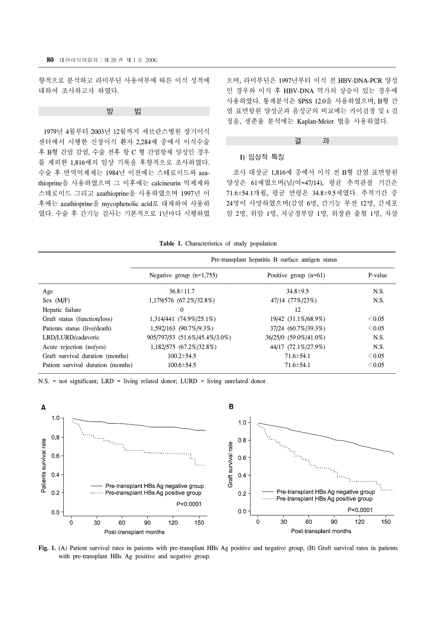향적으로 분석하고 라미부딘 사용여부에 따른 이식 성적에 대하여 조사하고자 하였다.

방 법

 1979년 4월부터 2003년 12월까지 세브란스병원 장기이식 센터에서 시행한 신장이식 환자 2,284예 중에서 이식수술 후 B형 간염 감염, 수술 전후 항 C 형 간염항체 양성인 경우 를 제외한 1,816예의 임상 기록을 후향적으로 조사하였다. 수술 후 면역억제제는 1984년 이전에는 스테로이드와 azathioprine을 사용하였으며 그 이후에는 calcineurin 억제제와 스테로이드 그리고 azathioprine을 사용하였으며 1997년 이 후에는 azathioprine을 mycophenolic acid로 대체하여 사용하 였다. 수술 후 간기능 검사는 기본적으로 1년마다 시행하였

으며, 라미부딘은 1997년부터 이식 전 HBV-DNA-PCR 양성 인 경우와 이식 후 HBV-DNA 역가의 상승이 있는 경우에 사용하였다. 통계분석은 SPSS 12.0을 사용하였으며, B형 간 염 표면항원 양성군과 음성군의 비교에는 카이검정 및 t 검 정을, 생존율 분석에는 Kaplan-Meier 법을 사용하였다.



#### **1)** 임상적 특징

 조사 대상군 1,816예 중에서 이식 전 B형 간염 표면항원 양성은 61예였으며(남/여=47/14), 평균 추적관찰 기간은 71.6±54.1개월, 평균 연령은 34.8±9.5세였다. 추적기간 중 24명이 사망하였으며(감염 6명, 간기능 부전 12명, 간세포 암 2명, 위암 1명, 자궁경부암 1명, 위장관 출혈 1명, 자살

|  |  | Table 1. Characteristics of study population |  |  |  |
|--|--|----------------------------------------------|--|--|--|
|--|--|----------------------------------------------|--|--|--|

|                                    | Pre-transplant hepatitis B surface antigen status |                         |             |  |
|------------------------------------|---------------------------------------------------|-------------------------|-------------|--|
|                                    | Negative group $(n=1,755)$                        | Positive group $(n=61)$ | P-value     |  |
| Age                                | $36.8 \pm 11.7$                                   | $34.8 \pm 9.5$          | N.S.        |  |
| Sex (M/F)                          | 1,179/576 (67.2%/32.8%)                           | 47/14 (77%/23%)         | N.S.        |  |
| Hepatic failure                    | $\Omega$                                          | 12                      |             |  |
| Graft status (function/loss)       | 1.314/441 (74.9%/25.1%)                           | 19/42 (31.1%/68.9%)     | $\leq 0.05$ |  |
| Patients status (live/death)       | 1,592/163 (90.7%/9.3%)                            | 37/24 (60.7%/39.3%)     | $\leq 0.05$ |  |
| LRD/LURD/cadaveric                 | 905/797/53 (51.6%/45.4%/3.0%)                     | 36/25/0 (59.0%/41.0%)   | N.S.        |  |
| Acute rejection (no/yes)           | 1,182/575 (67.2%/32.8%)                           | 44/17 (72.1%/27.9%)     | N.S.        |  |
| Graft survival duration (months)   | $100.2 \pm 54.5$                                  | $71.6 \pm 54.1$         | $\leq 0.05$ |  |
| Patient survival duration (months) | $100.6 \pm 54.5$                                  | $71.6 \pm 54.1$         | $\leq 0.05$ |  |

N.S. = not significant; LRD = living related donor; LURD = living unrelated donor.



**Fig. 1.** (A) Patient survival rates in patients with pre-transplant HBs Ag positive and negative group, (B) Graft survival rates in patients with pre-transplant HBs Ag positive and negative group.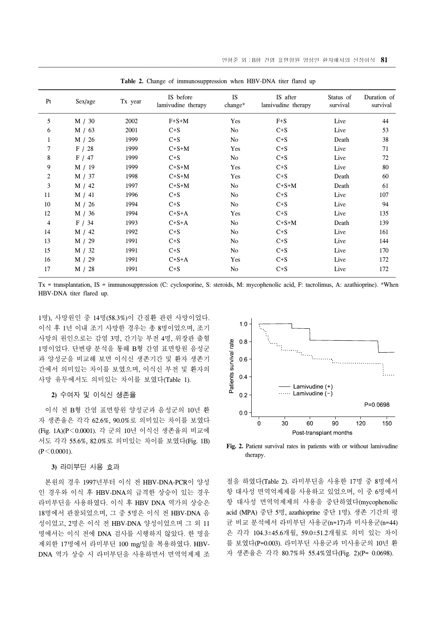| Pt             | Sex/age | Tx year | IS before<br>lamivudine therapy | <b>IS</b>      | IS after<br>lamivudine therapy | Status of<br>survival | Duration of<br>survival |
|----------------|---------|---------|---------------------------------|----------------|--------------------------------|-----------------------|-------------------------|
|                |         |         |                                 | change*        |                                |                       |                         |
| 5              | M / 30  | 2002    | $F + S + M$                     | Yes            | $F + S$                        | Live                  | 44                      |
| 6              | M / 63  | 2001    | $C + S$                         | No             | $C + S$                        | Live                  | 53                      |
| 1              | M / 26  | 1999    | $C + S$                         | No             | $C + S$                        | Death                 | 38                      |
| 7              | F/28    | 1999    | $C+S+M$                         | Yes            | $C + S$                        | Live                  | 71                      |
| 8              | F / 47  | 1999    | $C + S$                         | No             | $C + S$                        | Live                  | 72                      |
| 9              | M / 19  | 1999    | $C+S+M$                         | Yes            | $C + S$                        | Live                  | 80                      |
| $\overline{c}$ | M / 37  | 1998    | $C+S+M$                         | Yes            | $C + S$                        | Death                 | 60                      |
| 3              | M / 42  | 1997    | $C+S+M$                         | No             | $C+S+M$                        | Death                 | 61                      |
| 11             | M / 41  | 1996    | $C + S$                         | No             | $C + S$                        | Live                  | 107                     |
| 10             | M / 26  | 1994    | $C + S$                         | No             | $C + S$                        | Live                  | 94                      |
| 12             | M / 36  | 1994    | $C+S+A$                         | Yes            | $C + S$                        | Live                  | 135                     |
| 4              | F / 34  | 1993    | $C+S+A$                         | No             | $C+S+M$                        | Death                 | 139                     |
| 14             | M / 42  | 1992    | $C + S$                         | N <sub>o</sub> | $C + S$                        | Live                  | 161                     |
| 13             | M / 29  | 1991    | $C + S$                         | No             | $C + S$                        | Live                  | 144                     |
| 15             | M / 32  | 1991    | $C + S$                         | No             | $C + S$                        | Live                  | 170                     |
| 16             | M / 29  | 1991    | $C+S+A$                         | Yes            | $C + S$                        | Live                  | 172                     |
| 17             | M / 28  | 1991    | $C + S$                         | No             | $C + S$                        | Live                  | 172                     |

**Table 2.** Change of immunosuppression when HBV-DNA titer flared up

Tx = transplantation, IS = immunosuppression (C: cyclosporine, S: steroids, M: mycophenolic acid, F: tacrolimus, A: azathioprine). \*When HBV-DNA titer flared up.

1명), 사망원인 중 14명(58.3%)이 간질환 관련 사망이었다. 이식 후 1년 이내 조기 사망한 경우는 총 8명이었으며, 조기 사망의 원인으로는 감염 3명, 간기능 부전 4명, 위장관 출혈 1명이었다. 단변량 분석을 통해 B형 간염 표면항원 음성군 과 양성군을 비교해 보면 이식신 생존기간 및 환자 생존기 간에서 의미있는 차이를 보였으며, 이식신 부전 및 환자의 사망 유무에서도 의미있는 차이를 보였다(Table 1).

#### **2)** 수여자 및 이식신 생존율

 이식 전 B형 간염 표면항원 양성군과 음성군의 10년 환 자 생존율은 각각 62.6%, 90.0%로 의미있는 차이를 보였다 (Fig. 1A)(P<0.0001). 각 군의 10년 이식신 생존율의 비교에 서도 각각 55.6%, 82.0%로 의미있는 차이를 보였다(Fig. 1B)  $(P < 0.0001)$ .

#### **3)** 라미부딘 사용 효과

 본원의 경우 1997년부터 이식 전 HBV-DNA-PCR이 양성 인 경우와 이식 후 HBV-DNA의 급격한 상승이 있는 경우 라미부딘을 사용하였다. 이식 후 HBV DNA 역가의 상승은 18명에서 관찰되었으며, 그 중 5명은 이식 전 HBV-DNA 음 성이었고, 2명은 이식 전 HBV-DNA 양성이었으며 그 외 11 명에서는 이식 전에 DNA 검사를 시행하지 않았다. 한 명을 제외한 17명에서 라미부딘 100 mg/일을 복용하였다. HBV-DNA 역가 상승 시 라미부딘을 사용하면서 면역억제제 조



**Fig. 2.** Patient survival rates in patients with or without lamivudine therapy.

절을 하였다(Table 2). 라미부딘을 사용한 17명 중 8명에서 항 대사성 면역억제제를 사용하고 있었으며, 이 중 6명에서 항 대사성 면역억제제의 사용을 중단하였다(mycophenolic acid (MPA) 중단 5명, azathioprine 중단 1명). 생존 기간의 평 균 비교 분석에서 라미부딘 사용군(n=17)과 미사용군(n=44) 은 각각 104.3±45.6개월, 59.0±51.2개월로 의미 있는 차이 를 보였다(P=0.003). 라미부딘 사용군과 미사용군의 10년 환 자 생존율은 각각 80.7%와 55.4%였다(Fig. 2)(P= 0.0698).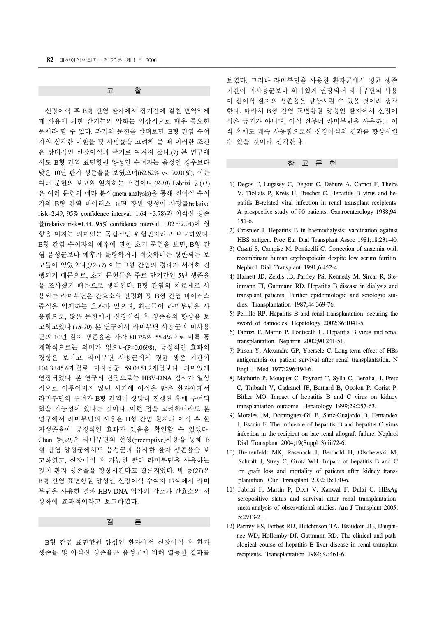고 찰

 신장이식 후 B형 간염 환자에서 장기간에 걸친 면역억제 제 사용에 의한 간기능의 악화는 임상적으로 매우 중요한 문제라 할 수 있다. 과거의 문헌을 살펴보면, B형 간염 수여 자의 심각한 이환율 및 사망률을 고려해 볼 때 이러한 조건 은 상대적인 신장이식의 금기로 여겨져 왔다.(*7*) 본 연구에 서도 B형 간염 표면항원 양성인 수여자는 음성인 경우보다 낮은 10년 환자 생존율을 보였으며(62.62% vs. 90.01%), 이는 여러 문헌의 보고와 일치하는 소견이다.(*8-10*) Fabrizi 등(*11*) 은 여러 문헌의 메타 분석(meta-analysis)을 통해 신이식 수여 자의 B형 간염 바이러스 표면 항원 양성이 사망률(relative risk=2.49, 95% confidence interval: 1.64∼3.78)과 이식신 생존 율(relative risk=1.44, 95% confidence interval: 1.02∼2.04)에 영 향을 미치는 의미있는 독립적인 위험인자라고 보고하였다. B형 간염 수여자의 예후에 관한 초기 문헌을 보면, B형 간 염 음성군보다 예후가 불량하거나 비슷하다는 상반되는 보 고들이 있었으나,(*12-17*) 이는 B형 간염의 경과가 서서히 진 행되기 때문으로, 초기 문헌들은 주로 단기간인 5년 생존율 을 조사했기 때문으로 생각된다. B형 간염의 치료제로 사 용되는 라미부딘은 간효소의 안정화 및 B형 간염 바이러스 증식을 억제하는 효과가 있으며, 최근들어 라미부딘을 사 용함으로, 많은 문헌에서 신장이식 후 생존율의 향상을 보 고하고있다.(*18-20*) 본 연구에서 라미부딘 사용군과 미사용 군의 10년 환자 생존율은 각각 80.7%와 55.4%으로 비록 통 계학적으로는 의미가 없으나(P=0.0698), 긍정적인 효과의 경향은 보이고, 라미부딘 사용군에서 평균 생존 기간이 104.3±45.6개월로 미사용군 59.0±51.2개월보다 의미있게 연장되었다. 본 연구의 단점으로는 HBV-DNA 검사가 일상 적으로 이루어지지 않던 시기에 이식을 받은 환자에게서 라미부딘의 투여가 B형 간염이 상당히 진행된 후에 투여되 었을 가능성이 있다는 것이다. 이런 점을 고려하더라도 본 연구에서 라미부딘의 사용은 B형 간염 환자의 이식 후 환 자생존율에 긍정적인 효과가 있음을 확인할 수 있었다. Chan 등(*20*)은 라미부딘의 선행(preemptive)사용을 통해 B 형 간염 양성군에서도 음성군과 유사한 환자 생존율을 보 고하였고, 신장이식 후 가능한 빨리 라미부딘을 사용하는 것이 환자 생존율을 향상시킨다고 결론지었다. 박 등(*21*)은 B형 간염 표면항원 양성인 신장이식 수여자 17예에서 라미 부딘을 사용한 결과 HBV-DNA 역가의 감소와 간효소의 정 상화에 효과적이라고 보고하였다.

결 론

 B형 간염 표면항원 양성인 환자에서 신장이식 후 환자 생존율 및 이식신 생존율은 음성군에 비해 열등한 결과를

보였다. 그러나 라미부딘을 사용한 환자군에서 평균 생존 기간이 미사용군보다 의미있게 연장되어 라미부딘의 사용 이 신이식 환자의 생존율을 향상시킬 수 있을 것이라 생각 한다. 따라서 B형 간염 표면항원 양성인 환자에서 신장이 식은 금기가 아니며, 이식 전부터 라미부딘을 사용하고 이 식 후에도 계속 사용함으로써 신장이식의 결과를 향상시킬 수 있을 것이라 생각한다.

#### 참 고 문 헌

- 1) Degos F, Lugassy C, Degott C, Debure A, Carnot F, Theirs V, Tiollais P, Kreis H, Brechot C. Hepatitis B virus and hepatitis B-related viral infection in renal transplant recipients. A prospective study of 90 patients. Gastroenterology 1988;94: 151-6.
- 2) Crosnier J. Hepatitis B in haemodialysis: vaccination against HBS antigen. Proc Eur Dial Transplant Assoc 1981;18:231-40.
- 3) Casati S, Campise M, Ponticelli C. Correction of anaemia with recombinant human erythropoietin despite low serum ferritin. Nephrol Dial Transplant 1991;6:452-4.
- 4) Harnett JD, Zeldis JB, Parfrey PS, Kennedy M, Sircar R, Steinmann TI, Guttmann RD. Hepatitis B disease in dialysis and transplant patients. Further epidemiologic and serologic studies. Transplantation 1987;44:369-76.
- 5) Perrillo RP. Hepatitis B and renal transplantation: securing the sword of damocles. Hepatology 2002;36:1041-5.
- 6) Fabrizi F, Martin P, Ponticelli C. Hepatitis B virus and renal transplantation. Nephron 2002;90:241-51.
- 7) Pirson Y, Alexandre GP, Ypersele C. Long-term effect of HBs antigenemia on patient survival after renal transplantation. N Engl J Med 1977;296:194-6.
- 8) Mathurin P, Mouquet C, Poynard T, Sylla C, Benalia H, Fretz C, Thibault V, Cadranel JF, Bernard B, Opolon P, Coriat P, Bitker MO. Impact of hepatitis B and C virus on kidney transplantation outcome. Hepatology 1999;29:257-63.
- 9) Morales JM, Dominguez-Gil B, Sanz-Guajardo D, Fernandez J, Escuin F. The influence of hepatitis B and hepatitis C virus infection in the recipient on late renal allograft failure. Nephrol Dial Transplant 2004;19(Suppl 3):iii72-6.
- 10) Breitenfeldt MK, Rasenack J, Berthold H, Olschewski M, Schroff J, Strey C, Grotz WH. Impact of hepatitis B and C on graft loss and mortality of patients after kidney transplantation. Clin Transplant 2002;16:130-6.
- 11) Fabrizi F, Martin P, Dixit V, Kanwal F, Dulai G. HBsAg seropositive status and survival after renal transplantation: meta-analysis of observational studies. Am J Transplant 2005; 5:2913-21.
- 12) Parfrey PS, Forbes RD, Hutchinson TA, Beaudoin JG, Dauphinee WD, Hollomby DJ, Guttmann RD. The clinical and pathological course of hepatitis B liver disease in renal transplant recipients. Transplantation 1984;37:461-6.